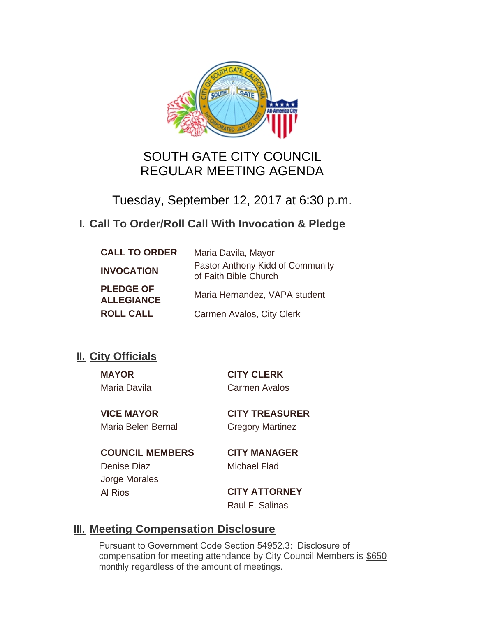

# SOUTH GATE CITY COUNCIL REGULAR MEETING AGENDA

# Tuesday, September 12, 2017 at 6:30 p.m.

## **Call To Order/Roll Call With Invocation & Pledge I.**

| <b>CALL TO ORDER</b>                  | Maria Davila, Mayor                                       |
|---------------------------------------|-----------------------------------------------------------|
| <b>INVOCATION</b>                     | Pastor Anthony Kidd of Community<br>of Faith Bible Church |
| <b>PLEDGE OF</b><br><b>ALLEGIANCE</b> | Maria Hernandez, VAPA student                             |
| <b>ROLL CALL</b>                      | Carmen Avalos, City Clerk                                 |

## **II.** City Officials

**MAYOR CITY CLERK** Maria Davila Carmen Avalos

Maria Belen Bernal Gregory Martinez

**VICE MAYOR CITY TREASURER**

**COUNCIL MEMBERS CITY MANAGER** Denise Diaz Michael Flad Jorge Morales

Al Rios **CITY ATTORNEY** Raul F. Salinas

## **Meeting Compensation Disclosure III.**

Pursuant to Government Code Section 54952.3: Disclosure of compensation for meeting attendance by City Council Members is \$650 monthly regardless of the amount of meetings.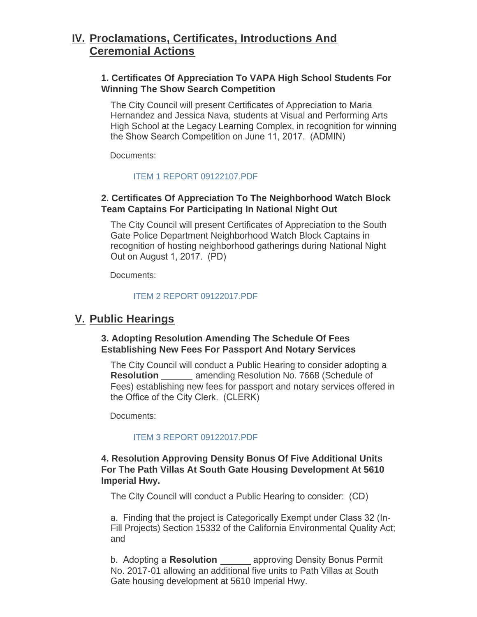## **Proclamations, Certificates, Introductions And IV. Ceremonial Actions**

## **1. Certificates Of Appreciation To VAPA High School Students For Winning The Show Search Competition**

The City Council will present Certificates of Appreciation to Maria Hernandez and Jessica Nava, students at Visual and Performing Arts High School at the Legacy Learning Complex, in recognition for winning the Show Search Competition on June 11, 2017. (ADMIN)

Documents:

## [ITEM 1 REPORT 09122107.PDF](http://cityofsouthgate.org/AgendaCenter/ViewFile/Item/4791?fileID=10713)

## **2. Certificates Of Appreciation To The Neighborhood Watch Block Team Captains For Participating In National Night Out**

The City Council will present Certificates of Appreciation to the South Gate Police Department Neighborhood Watch Block Captains in recognition of hosting neighborhood gatherings during National Night Out on August 1, 2017. (PD)

Documents:

#### [ITEM 2 REPORT 09122017.PDF](http://cityofsouthgate.org/AgendaCenter/ViewFile/Item/4792?fileID=10714)

## **Public Hearings V.**

## **3. Adopting Resolution Amending The Schedule Of Fees Establishing New Fees For Passport And Notary Services**

The City Council will conduct a Public Hearing to consider adopting a **Resolution** amending Resolution No. 7668 (Schedule of Fees) establishing new fees for passport and notary services offered in the Office of the City Clerk. (CLERK)

Documents:

## [ITEM 3 REPORT 09122017.PDF](http://cityofsouthgate.org/AgendaCenter/ViewFile/Item/4793?fileID=10715)

## **4. Resolution Approving Density Bonus Of Five Additional Units For The Path Villas At South Gate Housing Development At 5610 Imperial Hwy.**

The City Council will conduct a Public Hearing to consider: (CD)

a. Finding that the project is Categorically Exempt under Class 32 (In-Fill Projects) Section 15332 of the California Environmental Quality Act; and

b. Adopting a **Resolution**  approving Density Bonus Permit No. 2017-01 allowing an additional five units to Path Villas at South Gate housing development at 5610 Imperial Hwy.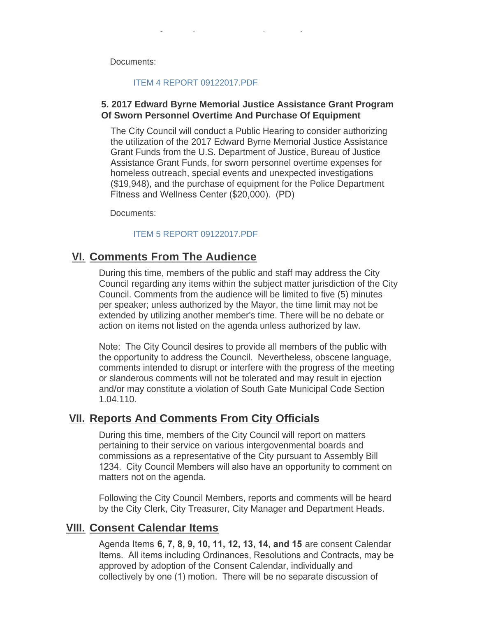Documents:

#### [ITEM 4 REPORT 09122017.PDF](http://cityofsouthgate.org/AgendaCenter/ViewFile/Item/4783?fileID=10710)

Gate housing development at 5610 Imperial Hwy.

### **5. 2017 Edward Byrne Memorial Justice Assistance Grant Program Of Sworn Personnel Overtime And Purchase Of Equipment**

The City Council will conduct a Public Hearing to consider authorizing the utilization of the 2017 Edward Byrne Memorial Justice Assistance Grant Funds from the U.S. Department of Justice, Bureau of Justice Assistance Grant Funds, for sworn personnel overtime expenses for homeless outreach, special events and unexpected investigations (\$19,948), and the purchase of equipment for the Police Department Fitness and Wellness Center (\$20,000). (PD)

Documents:

### [ITEM 5 REPORT 09122017.PDF](http://cityofsouthgate.org/AgendaCenter/ViewFile/Item/4790?fileID=10712)

## **<u>VI. Comments From The Audience</u>**

During this time, members of the public and staff may address the City Council regarding any items within the subject matter jurisdiction of the City Council. Comments from the audience will be limited to five (5) minutes per speaker; unless authorized by the Mayor, the time limit may not be extended by utilizing another member's time. There will be no debate or action on items not listed on the agenda unless authorized by law.

Note: The City Council desires to provide all members of the public with the opportunity to address the Council. Nevertheless, obscene language, comments intended to disrupt or interfere with the progress of the meeting or slanderous comments will not be tolerated and may result in ejection and/or may constitute a violation of South Gate Municipal Code Section 1.04.110.

## **<u>VII. Reports And Comments From City Officials</u>**

During this time, members of the City Council will report on matters pertaining to their service on various intergovenmental boards and commissions as a representative of the City pursuant to Assembly Bill 1234. City Council Members will also have an opportunity to comment on matters not on the agenda.

Following the City Council Members, reports and comments will be heard by the City Clerk, City Treasurer, City Manager and Department Heads.

## **Consent Calendar Items VIII.**

Agenda Items **6, 7, 8, 9, 10, 11, 12, 13, 14, and 15** are consent Calendar Items. All items including Ordinances, Resolutions and Contracts, may be approved by adoption of the Consent Calendar, individually and collectively by one (1) motion. There will be no separate discussion of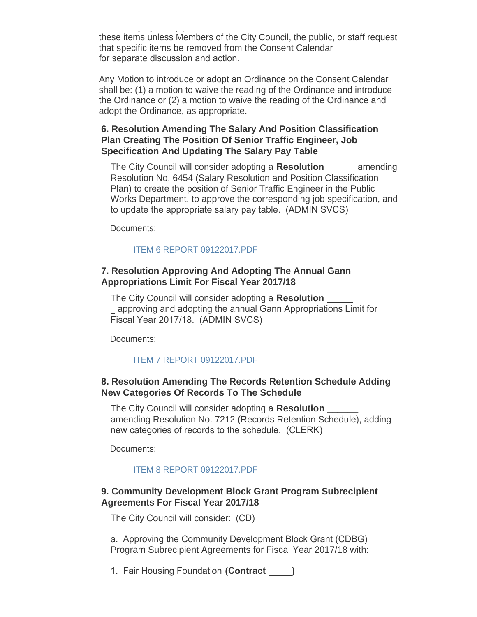collectively by one (1) motion. There will be no separate discussion of these items unless Members of the City Council, the public, or staff request that specific items be removed from the Consent Calendar for separate discussion and action.

Any Motion to introduce or adopt an Ordinance on the Consent Calendar shall be: (1) a motion to waive the reading of the Ordinance and introduce the Ordinance or (2) a motion to waive the reading of the Ordinance and adopt the Ordinance, as appropriate.

## **6. Resolution Amending The Salary And Position Classification Plan Creating The Position Of Senior Traffic Engineer, Job Specification And Updating The Salary Pay Table**

The City Council will consider adopting a **Resolution**  amending Resolution No. 6454 (Salary Resolution and Position Classification Plan) to create the position of Senior Traffic Engineer in the Public Works Department, to approve the corresponding job specification, and to update the appropriate salary pay table. (ADMIN SVCS)

Documents:

## [ITEM 6 REPORT 09122017.PDF](http://cityofsouthgate.org/AgendaCenter/ViewFile/Item/4784?fileID=10706)

## **7. Resolution Approving And Adopting The Annual Gann Appropriations Limit For Fiscal Year 2017/18**

The City Council will consider adopting a **Resolution**  approving and adopting the annual Gann Appropriations Limit for Fiscal Year 2017/18. (ADMIN SVCS)

Documents:

## [ITEM 7 REPORT 09122017.PDF](http://cityofsouthgate.org/AgendaCenter/ViewFile/Item/4786?fileID=10707)

## **8. Resolution Amending The Records Retention Schedule Adding New Categories Of Records To The Schedule**

The City Council will consider adopting a **Resolution \_\_\_\_\_\_** amending Resolution No. 7212 (Records Retention Schedule), adding new categories of records to the schedule. (CLERK)

Documents:

## [ITEM 8 REPORT 09122017.PDF](http://cityofsouthgate.org/AgendaCenter/ViewFile/Item/4794?fileID=10716)

## **9. Community Development Block Grant Program Subrecipient Agreements For Fiscal Year 2017/18**

The City Council will consider: (CD)

a. Approving the Community Development Block Grant (CDBG) Program Subrecipient Agreements for Fiscal Year 2017/18 with:

1. Fair Housing Foundation **(Contract )**;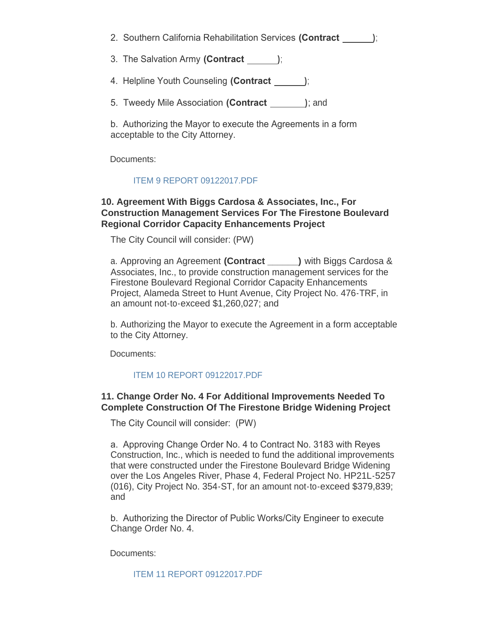2. Southern California Rehabilitation Services **(Contract )**;

3. The Salvation Army **(Contract )**;

- 4. Helpline Youth Counseling **(Contract )**;
- 5. Tweedy Mile Association **(Contract )**; and

b. Authorizing the Mayor to execute the Agreements in a form acceptable to the City Attorney.

Documents:

#### [ITEM 9 REPORT 09122017.PDF](http://cityofsouthgate.org/AgendaCenter/ViewFile/Item/4787?fileID=10708)

### **10. Agreement With Biggs Cardosa & Associates, Inc., For Construction Management Services For The Firestone Boulevard Regional Corridor Capacity Enhancements Project**

The City Council will consider: (PW)

a. Approving an Agreement **(Contract \_\_\_\_\_\_)** with Biggs Cardosa & Associates, Inc., to provide construction management services for the Firestone Boulevard Regional Corridor Capacity Enhancements Project, Alameda Street to Hunt Avenue, City Project No. 476-TRF, in an amount not-to-exceed \$1,260,027; and

b. Authorizing the Mayor to execute the Agreement in a form acceptable to the City Attorney.

Documents:

#### [ITEM 10 REPORT 09122017.PDF](http://cityofsouthgate.org/AgendaCenter/ViewFile/Item/4802?fileID=10763)

### **11. Change Order No. 4 For Additional Improvements Needed To Complete Construction Of The Firestone Bridge Widening Project**

The City Council will consider: (PW)

a. Approving Change Order No. 4 to Contract No. 3183 with Reyes Construction, Inc., which is needed to fund the additional improvements that were constructed under the Firestone Boulevard Bridge Widening over the Los Angeles River, Phase 4, Federal Project No. HP21L-5257 (016), City Project No. 354-ST, for an amount not-to-exceed \$379,839; and

b. Authorizing the Director of Public Works/City Engineer to execute Change Order No. 4.

Documents:

[ITEM 11 REPORT 09122017.PDF](http://cityofsouthgate.org/AgendaCenter/ViewFile/Item/4795?fileID=10717)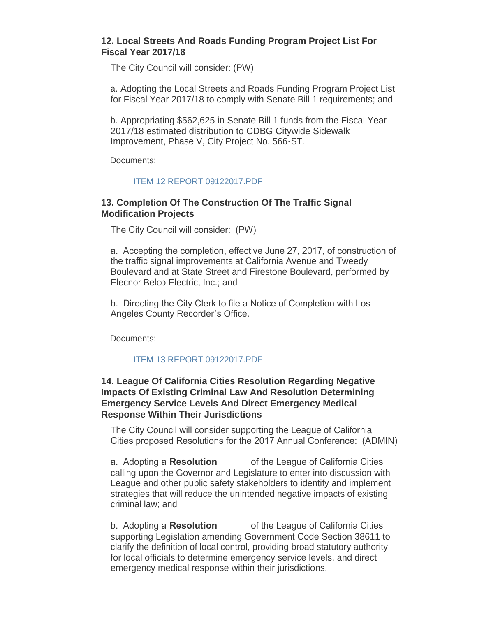## **12. Local Streets And Roads Funding Program Project List For Fiscal Year 2017/18**

The City Council will consider: (PW)

a. Adopting the Local Streets and Roads Funding Program Project List for Fiscal Year 2017/18 to comply with Senate Bill 1 requirements; and

b. Appropriating \$562,625 in Senate Bill 1 funds from the Fiscal Year 2017/18 estimated distribution to CDBG Citywide Sidewalk Improvement, Phase V, City Project No. 566-ST.

Documents:

### [ITEM 12 REPORT 09122017.PDF](http://cityofsouthgate.org/AgendaCenter/ViewFile/Item/4789?fileID=10711)

### **13. Completion Of The Construction Of The Traffic Signal Modification Projects**

The City Council will consider: (PW)

a. Accepting the completion, effective June 27, 2017, of construction of the traffic signal improvements at California Avenue and Tweedy Boulevard and at State Street and Firestone Boulevard, performed by Elecnor Belco Electric, Inc.; and

b. Directing the City Clerk to file a Notice of Completion with Los Angeles County Recorder's Office.

Documents:

## [ITEM 13 REPORT 09122017.PDF](http://cityofsouthgate.org/AgendaCenter/ViewFile/Item/4796?fileID=10718)

## **14. League Of California Cities Resolution Regarding Negative Impacts Of Existing Criminal Law And Resolution Determining Emergency Service Levels And Direct Emergency Medical Response Within Their Jurisdictions**

The City Council will consider supporting the League of California Cities proposed Resolutions for the 2017 Annual Conference: (ADMIN)

a. Adopting a **Resolution** of the League of California Cities calling upon the Governor and Legislature to enter into discussion with League and other public safety stakeholders to identify and implement strategies that will reduce the unintended negative impacts of existing criminal law; and

b. Adopting a **Resolution** of the League of California Cities supporting Legislation amending Government Code Section 38611 to clarify the definition of local control, providing broad statutory authority for local officials to determine emergency service levels, and direct emergency medical response within their jurisdictions.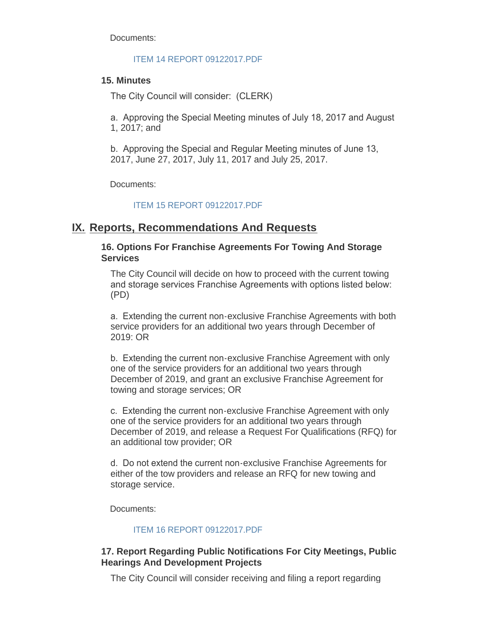Documents:

#### [ITEM 14 REPORT 09122017.PDF](http://cityofsouthgate.org/AgendaCenter/ViewFile/Item/4788?fileID=10709)

## **15. Minutes**

The City Council will consider: (CLERK)

a. Approving the Special Meeting minutes of July 18, 2017 and August 1, 2017; and

b. Approving the Special and Regular Meeting minutes of June 13, 2017, June 27, 2017, July 11, 2017 and July 25, 2017.

Documents:

### [ITEM 15 REPORT 09122017.PDF](http://cityofsouthgate.org/AgendaCenter/ViewFile/Item/4797?fileID=10719)

## **IX. Reports, Recommendations And Requests**

## **16. Options For Franchise Agreements For Towing And Storage Services**

The City Council will decide on how to proceed with the current towing and storage services Franchise Agreements with options listed below: (PD)

a. Extending the current non-exclusive Franchise Agreements with both service providers for an additional two years through December of 2019: OR

b. Extending the current non-exclusive Franchise Agreement with only one of the service providers for an additional two years through December of 2019, and grant an exclusive Franchise Agreement for towing and storage services; OR

c. Extending the current non-exclusive Franchise Agreement with only one of the service providers for an additional two years through December of 2019, and release a Request For Qualifications (RFQ) for an additional tow provider; OR

d. Do not extend the current non-exclusive Franchise Agreements for either of the tow providers and release an RFQ for new towing and storage service.

Documents:

## [ITEM 16 REPORT 09122017.PDF](http://cityofsouthgate.org/AgendaCenter/ViewFile/Item/4798?fileID=10720)

## **17. Report Regarding Public Notifications For City Meetings, Public Hearings And Development Projects**

The City Council will consider receiving and filing a report regarding